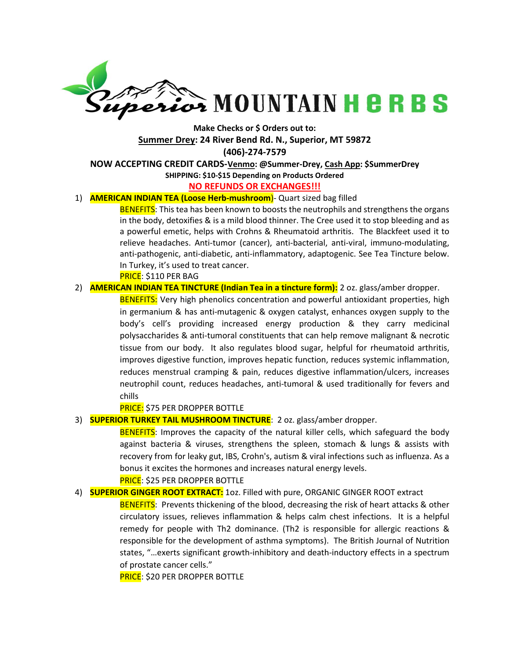

# Make Checks or \$ Orders out to: Summer Drey: 24 River Bend Rd. N., Superior, MT 59872 (406)-274-7579 NOW ACCEPTING CREDIT CARDS-Venmo: @Summer-Drey, Cash App: \$SummerDrey

# SHIPPING: \$10-\$15 Depending on Products Ordered

#### NO REFUNDS OR EXCHANGES!!!

## 1) **AMERICAN INDIAN TEA (Loose Herb-mushroom)**- Quart sized bag filled

**BENEFITS:** This tea has been known to boosts the neutrophils and strengthens the organs in the body, detoxifies & is a mild blood thinner. The Cree used it to stop bleeding and as a powerful emetic, helps with Crohns & Rheumatoid arthritis. The Blackfeet used it to relieve headaches. Anti-tumor (cancer), anti-bacterial, anti-viral, immuno-modulating, anti-pathogenic, anti-diabetic, anti-inflammatory, adaptogenic. See Tea Tincture below. In Turkey, it's used to treat cancer.

PRICE: \$110 PER BAG

## 2) **AMERICAN INDIAN TEA TINCTURE (Indian Tea in a tincture form):** 2 oz. glass/amber dropper.

**BENEFITS:** Very high phenolics concentration and powerful antioxidant properties, high in germanium & has anti-mutagenic & oxygen catalyst, enhances oxygen supply to the body's cell's providing increased energy production & they carry medicinal polysaccharides & anti-tumoral constituents that can help remove malignant & necrotic tissue from our body. It also regulates blood sugar, helpful for rheumatoid arthritis, improves digestive function, improves hepatic function, reduces systemic inflammation, reduces menstrual cramping & pain, reduces digestive inflammation/ulcers, increases neutrophil count, reduces headaches, anti-tumoral & used traditionally for fevers and chills

#### PRICE: \$75 PER DROPPER BOTTLE

# 3) SUPERIOR TURKEY TAIL MUSHROOM TINCTURE: 2 oz. glass/amber dropper.

**BENEFITS:** Improves the capacity of the natural killer cells, which safeguard the body against bacteria & viruses, strengthens the spleen, stomach & lungs & assists with recovery from for leaky gut, IBS, Crohn's, autism & viral infections such as influenza. As a bonus it excites the hormones and increases natural energy levels.

# PRICE: \$25 PER DROPPER BOTTLE

# 4) **SUPERIOR GINGER ROOT EXTRACT:** 1oz. Filled with pure, ORGANIC GINGER ROOT extract

BENEFITS: Prevents thickening of the blood, decreasing the risk of heart attacks & other circulatory issues, relieves inflammation & helps calm chest infections. It is a helpful remedy for people with Th2 dominance. (Th2 is responsible for allergic reactions & responsible for the development of asthma symptoms). The British Journal of Nutrition states, "…exerts significant growth-inhibitory and death-inductory effects in a spectrum of prostate cancer cells."

**PRICE**: \$20 PER DROPPER BOTTLE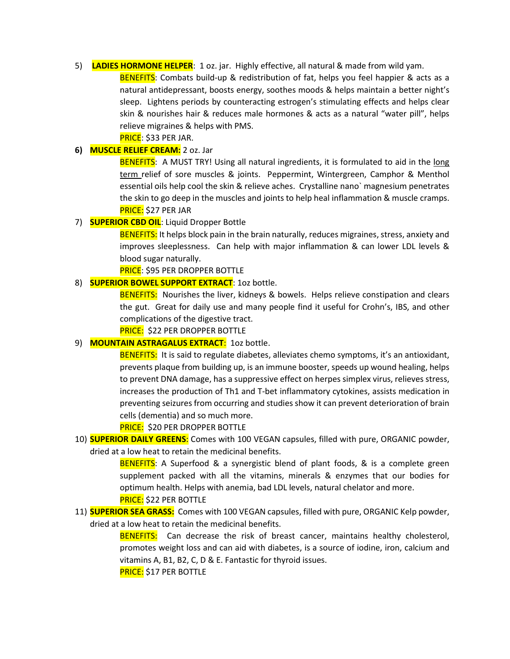## 5) LADIES HORMONE HELPER: 1 oz. jar. Highly effective, all natural & made from wild yam.

BENEFITS: Combats build-up & redistribution of fat, helps you feel happier & acts as a natural antidepressant, boosts energy, soothes moods & helps maintain a better night's sleep. Lightens periods by counteracting estrogen's stimulating effects and helps clear skin & nourishes hair & reduces male hormones & acts as a natural "water pill", helps relieve migraines & helps with PMS.

PRICE: \$33 PER JAR.

# 6) MUSCLE RELIEF CREAM: 2 oz. Jar

BENEFITS: A MUST TRY! Using all natural ingredients, it is formulated to aid in the long term relief of sore muscles & joints. Peppermint, Wintergreen, Camphor & Menthol essential oils help cool the skin & relieve aches. Crystalline nano` magnesium penetrates the skin to go deep in the muscles and joints to help heal inflammation & muscle cramps. PRICE: \$27 PER JAR

# 7) **SUPERIOR CBD OIL:** Liquid Dropper Bottle

BENEFITS: It helps block pain in the brain naturally, reduces migraines, stress, anxiety and improves sleeplessness. Can help with major inflammation & can lower LDL levels & blood sugar naturally.

PRICE: \$95 PER DROPPER BOTTLE

# 8) **SUPERIOR BOWEL SUPPORT EXTRACT**: 1oz bottle.

BENEFITS: Nourishes the liver, kidneys & bowels. Helps relieve constipation and clears the gut. Great for daily use and many people find it useful for Crohn's, IBS, and other complications of the digestive tract.

**PRICE: \$22 PER DROPPER BOTTLE** 

# 9) MOUNTAIN ASTRAGALUS EXTRACT: 1oz bottle.

**BENEFITS:** It is said to regulate diabetes, alleviates chemo symptoms, it's an antioxidant, prevents plaque from building up, is an immune booster, speeds up wound healing, helps to prevent DNA damage, has a suppressive effect on herpes simplex virus, relieves stress, increases the production of Th1 and T-bet inflammatory cytokines, assists medication in preventing seizures from occurring and studies show it can prevent deterioration of brain cells (dementia) and so much more.

# PRICE: \$20 PER DROPPER BOTTLE

10) **SUPERIOR DAILY GREENS:** Comes with 100 VEGAN capsules, filled with pure, ORGANIC powder, dried at a low heat to retain the medicinal benefits.

> BENEFITS: A Superfood & a synergistic blend of plant foods, & is a complete green supplement packed with all the vitamins, minerals & enzymes that our bodies for optimum health. Helps with anemia, bad LDL levels, natural chelator and more. PRICE: \$22 PER BOTTLE

11) **SUPERIOR SEA GRASS:** Comes with 100 VEGAN capsules, filled with pure, ORGANIC Kelp powder, dried at a low heat to retain the medicinal benefits.

> BENEFITS: Can decrease the risk of breast cancer, maintains healthy cholesterol, promotes weight loss and can aid with diabetes, is a source of iodine, iron, calcium and vitamins A, B1, B2, C, D & E. Fantastic for thyroid issues.

PRICE: \$17 PER BOTTLE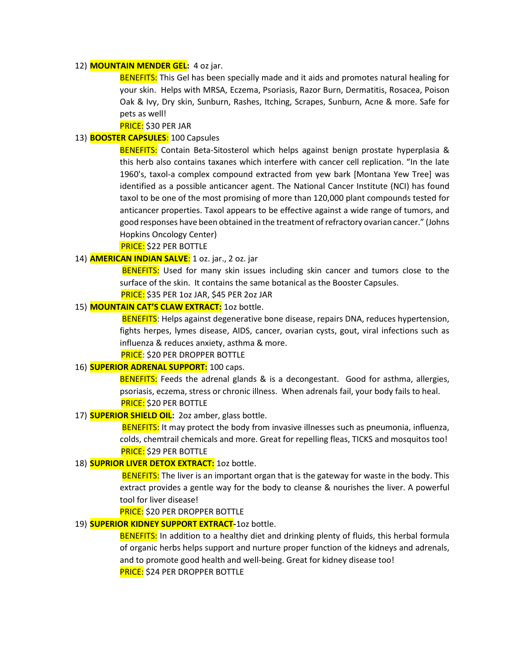#### 12) **MOUNTAIN MENDER GEL:** 4 oz jar.

**BENEFITS:** This Gel has been specially made and it aids and promotes natural healing for your skin. Helps with MRSA, Eczema, Psoriasis, Razor Burn, Dermatitis, Rosacea, Poison Oak & Ivy, Dry skin, Sunburn, Rashes, Itching, Scrapes, Sunburn, Acne & more. Safe for pets as well!

## PRICE: \$30 PER JAR

#### 13) **BOOSTER CAPSULES:** 100 Capsules

BENEFITS: Contain Beta-Sitosterol which helps against benign prostate hyperplasia & this herb also contains taxanes which interfere with cancer cell replication. "In the late 1960's, taxol-a complex compound extracted from yew bark [Montana Yew Tree] was identified as a possible anticancer agent. The National Cancer Institute (NCI) has found taxol to be one of the most promising of more than 120,000 plant compounds tested for anticancer properties. Taxol appears to be effective against a wide range of tumors, and good responses have been obtained in the treatment of refractory ovarian cancer." (Johns Hopkins Oncology Center)

PRICE: \$22 PER BOTTLE

#### 14) AMERICAN INDIAN SALVE: 1 oz. jar., 2 oz. jar

**BENEFITS:** Used for many skin issues including skin cancer and tumors close to the surface of the skin. It contains the same botanical as the Booster Capsules.

PRICE: \$35 PER 1oz JAR, \$45 PER 2oz JAR

# 15) **MOUNTAIN CAT'S CLAW EXTRACT:** 10z bottle.

BENEFITS: Helps against degenerative bone disease, repairs DNA, reduces hypertension, fights herpes, lymes disease, AIDS, cancer, ovarian cysts, gout, viral infections such as influenza & reduces anxiety, asthma & more.

#### PRICE: \$20 PER DROPPER BOTTLE

# 16) **SUPERIOR ADRENAL SUPPORT:** 100 caps.

BENEFITS: Feeds the adrenal glands & is a decongestant. Good for asthma, allergies, psoriasis, eczema, stress or chronic illness. When adrenals fail, your body fails to heal. PRICE: \$20 PER BOTTLE

#### 17) **SUPERIOR SHIELD OIL:** 20z amber, glass bottle.

**BENEFITS:** It may protect the body from invasive illnesses such as pneumonia, influenza, colds, chemtrail chemicals and more. Great for repelling fleas, TICKS and mosquitos too! **PRICE:** \$29 PER BOTTLE

## 18) **SUPRIOR LIVER DETOX EXTRACT:** 10z bottle.

**BENEFITS:** The liver is an important organ that is the gateway for waste in the body. This extract provides a gentle way for the body to cleanse & nourishes the liver. A powerful tool for liver disease!

#### PRICE: \$20 PER DROPPER BOTTLE

### 19) **SUPERIOR KIDNEY SUPPORT EXTRACT-102 bottle.**

**BENEFITS:** In addition to a healthy diet and drinking plenty of fluids, this herbal formula of organic herbs helps support and nurture proper function of the kidneys and adrenals, and to promote good health and well-being. Great for kidney disease too! PRICE: \$24 PER DROPPER BOTTLE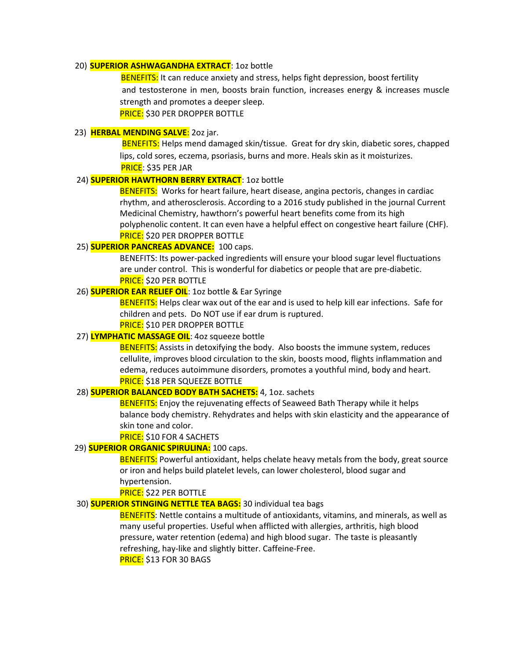# 20) **SUPERIOR ASHWAGANDHA EXTRACT**: 1oz bottle

**BENEFITS:** It can reduce anxiety and stress, helps fight depression, boost fertility and testosterone in men, boosts brain function, increases energy & increases muscle strength and promotes a deeper sleep. PRICE: \$30 PER DROPPER BOTTLE

# 23) HERBAL MENDING SALVE: 202 jar.

 BENEFITS: Helps mend damaged skin/tissue. Great for dry skin, diabetic sores, chapped lips, cold sores, eczema, psoriasis, burns and more. Heals skin as it moisturizes. PRICE: \$35 PER JAR

# 24) **SUPERIOR HAWTHORN BERRY EXTRACT**: 1oz bottle

BENEFITS: Works for heart failure, heart disease, angina pectoris, changes in cardiac rhythm, and atherosclerosis. According to a 2016 study published in the journal Current Medicinal Chemistry, hawthorn's powerful heart benefits come from its high polyphenolic content. It can even have a helpful effect on congestive heart failure (CHF). **PRICE:** \$20 PER DROPPER BOTTLE

## 25) **SUPERIOR PANCREAS ADVANCE:** 100 caps.

BENEFITS: Its power-packed ingredients will ensure your blood sugar level fluctuations are under control. This is wonderful for diabetics or people that are pre-diabetic. PRICE: \$20 PER BOTTLE

## 26) **SUPERIOR EAR RELIEF OIL**: 1oz bottle & Ear Syringe

**BENEFITS:** Helps clear wax out of the ear and is used to help kill ear infections. Safe for children and pets. Do NOT use if ear drum is ruptured.

**PRICE:** \$10 PER DROPPER BOTTLE

# 27) **LYMPHATIC MASSAGE OIL**: 40z squeeze bottle

BENEFITS: Assists in detoxifying the body. Also boosts the immune system, reduces cellulite, improves blood circulation to the skin, boosts mood, flights inflammation and edema, reduces autoimmune disorders, promotes a youthful mind, body and heart. PRICE: \$18 PER SQUEEZE BOTTLE

#### 28) **SUPERIOR BALANCED BODY BATH SACHETS:** 4, 10z. sachets

**BENEFITS:** Enjoy the rejuvenating effects of Seaweed Bath Therapy while it helps balance body chemistry. Rehydrates and helps with skin elasticity and the appearance of skin tone and color.

**PRICE:** \$10 FOR 4 SACHETS

# 29) **SUPERIOR ORGANIC SPIRULINA:** 100 caps.

**BENEFITS:** Powerful antioxidant, helps chelate heavy metals from the body, great source or iron and helps build platelet levels, can lower cholesterol, blood sugar and hypertension.

PRICE: \$22 PER BOTTLE

# 30) **SUPERIOR STINGING NETTLE TEA BAGS:** 30 individual tea bags

BENEFITS: Nettle contains a multitude of antioxidants, vitamins, and minerals, as well as many useful properties. Useful when afflicted with allergies, arthritis, high blood pressure, water retention (edema) and high blood sugar. The taste is pleasantly refreshing, hay-like and slightly bitter. Caffeine-Free. PRICE: \$13 FOR 30 BAGS